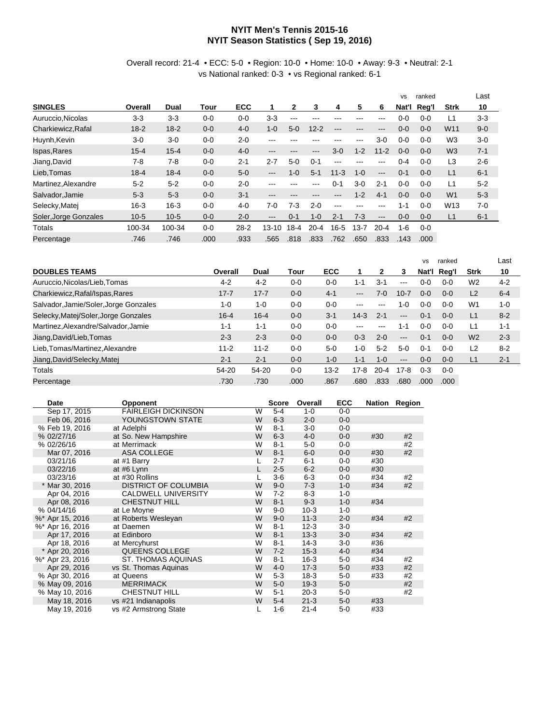## **NYIT Men's Tennis 2015-16 NYIT Season Statistics ( Sep 19, 2016)**

## Overall record: 21-4 • ECC: 5-0 • Region: 10-0 • Home: 10-0 • Away: 9-3 • Neutral: 2-1 vs National ranked: 0-3 • vs Regional ranked: 6-1

|                       |          |          |         |            |           |          |          |          |          |          | <b>VS</b> | ranked  |                 | Last    |
|-----------------------|----------|----------|---------|------------|-----------|----------|----------|----------|----------|----------|-----------|---------|-----------------|---------|
| <b>SINGLES</b>        | Overall  | Dual     | Tour    | <b>ECC</b> |           | 2        | 3        | 4        | 5        | 6        | Nat'l     | Reg'l   | <b>Strk</b>     | 10      |
| Auruccio.Nicolas      | $3-3$    | $3-3$    | $0 - 0$ | $0 - 0$    | $3-3$     | $--$     | ---      | ---      | ---      | ---      | $0-0$     | $0 - 0$ | L <sub>1</sub>  | $3-3$   |
| Charkiewicz.Rafal     | $18 - 2$ | $18 - 2$ | $0-0$   | $4 - 0$    | $1 - 0$   | $5-0$    | $12 - 2$ | ---      | ---      | ---      | $0 - 0$   | $0 - 0$ | W <sub>11</sub> | $9 - 0$ |
| Huynh, Kevin          | $3-0$    | $3-0$    | $0-0$   | $2 - 0$    | ---       |          |          | ---      | ---      | $3-0$    | $0 - 0$   | $0 - 0$ | W <sub>3</sub>  | $3-0$   |
| Ispas, Rares          | $15 - 4$ | $15 - 4$ | $0 - 0$ | $4 - 0$    | ---       | ---      | ---      | $3-0$    | $1 - 2$  | $11 - 2$ | $0 - 0$   | $0 - 0$ | W <sub>3</sub>  | $7 - 1$ |
| Jiang, David          | $7-8$    | $7-8$    | $0-0$   | $2 - 1$    | $2 - 7$   | $5-0$    | $0 - 1$  | ---      | ---      | ---      | 0-4       | $0 - 0$ | L <sub>3</sub>  | $2 - 6$ |
| Lieb.Tomas            | $18 - 4$ | $18 - 4$ | $0 - 0$ | $5 - 0$    | $---$     | $1 - 0$  | $5 - 1$  | $11 - 3$ | $1 - 0$  | $---$    | $0 - 1$   | $0 - 0$ | L1              | $6 - 1$ |
| Martinez, Alexandre   | $5 - 2$  | $5 - 2$  | $0-0$   | $2 - 0$    | ---       | ---      | ---      | $0 - 1$  | $3-0$    | $2 - 1$  | $0 - 0$   | $0 - 0$ | L1              | $5 - 2$ |
| Salvador, Jamie       | $5-3$    | $5-3$    | $0 - 0$ | $3-1$      | ---       | ---      | ---      | ---      | $1 - 2$  | $4 - 1$  | $0-0$     | $0 - 0$ | W <sub>1</sub>  | $5 - 3$ |
| Selecky, Matej        | $16 - 3$ | $16 - 3$ | $0 - 0$ | $4 - 0$    | 7-0       | 7-3      | $2 - 0$  | $---$    | ---      | ---      | $1 - 1$   | $0 - 0$ | W <sub>13</sub> | $7-0$   |
| Soler, Jorge Gonzales | $10 - 5$ | $10-5$   | $0-0$   | $2 - 0$    | ---       | $() - 1$ | $1 - 0$  | $2 - 1$  | $7-3$    | $---$    | $0 - 0$   | $0 - 0$ | L1              | $6 - 1$ |
| Totals                | 100-34   | 100-34   | $0 - 0$ | $28 - 2$   | $13 - 10$ | $18-4$   | $20 - 4$ | $16 - 5$ | $13 - 7$ | $20 - 4$ | $1 - 6$   | $0 - 0$ |                 |         |
| Percentage            | .746     | .746     | .000    | .933       | .565      | .818     | .833     | .762     | .650     | .833     | .143      | .000    |                 |         |

|                                       |          |          |         |            |                     |          |                   | <b>VS</b> | ranked  |                | Last    |
|---------------------------------------|----------|----------|---------|------------|---------------------|----------|-------------------|-----------|---------|----------------|---------|
| <b>DOUBLES TEAMS</b>                  | Overall  | Dual     | Tour    | <b>ECC</b> |                     | 2        | З                 | Nat'l     | Reg'l   | <b>Strk</b>    | 10      |
| Auruccio, Nicolas/Lieb, Tomas         | $4 - 2$  | $4 - 2$  | $0-0$   | $0 - 0$    | 1-1                 | $3 - 1$  | $- - -$           | 0-0       | $0 - 0$ | W <sub>2</sub> | $4 - 2$ |
| Charkiewicz, Rafal/Ispas, Rares       | $17 - 7$ | $17 - 7$ | $0 - 0$ | $4 - 1$    | $\qquad \qquad - -$ | $7-0$    | $10 - 7$          | $0 - 0$   | $0 - 0$ | L2             | $6 - 4$ |
| Salvador, Jamie/Soler, Jorge Gonzales | $1 - 0$  | $1 - 0$  | $0 - 0$ | $0 - 0$    | $-- -$              |          | $1 - 0$           | $0 - 0$   | $0 - 0$ | W <sub>1</sub> | $1 - 0$ |
| Selecky, Matej/Soler, Jorge Gonzales  | $16 - 4$ | $16 - 4$ | $0 - 0$ | $3 - 1$    | $14-3$              | $2 - 1$  | $---$             | $0 - 1$   | $0 - 0$ | L1             | $8 - 2$ |
| Martinez, Alexandre/Salvador, Jamie   | $1 - 1$  | $1 - 1$  | $0 - 0$ | $0 - 0$    | $\frac{1}{2}$       | ---      | $1 - 1$           | $0 - 0$   | $0 - 0$ | L1             | $1 - 1$ |
| Jiang, David/Lieb, Tomas              | $2 - 3$  | $2 - 3$  | $0 - 0$ | $0 - 0$    | $0 - 3$             | $2 - 0$  | $---$             | $0 - 1$   | $0 - 0$ | W <sub>2</sub> | $2 - 3$ |
| Lieb, Tomas/Martinez, Alexandre       | $11 - 2$ | $11 - 2$ | $0 - 0$ | $5 - 0$    | 1-0                 | $5 - 2$  | $5-0$             | $0 - 1$   | $0 - 0$ | L2             | $8 - 2$ |
| Jiang, David/Selecky, Matej           | $2 - 1$  | $2 - 1$  | $0 - 0$ | $1 - 0$    | $1 - 1$             | $1 - 0$  | $\qquad \qquad -$ | $0 - 0$   | $0 - 0$ | L1             | $2 - 1$ |
| Totals                                | 54-20    | 54-20    | $0 - 0$ | $13-2$     | $17-8$              | $20 - 4$ | $17-8$            | $0 - 3$   | $0 - 0$ |                |         |
| Percentage                            | .730     | .730     | .000    | .867       | .680                | .833     | .680              | .000      | .000    |                |         |

| Date            | <b>Opponent</b>             |   | <b>Score</b> | Overall  | <b>ECC</b> |     | Nation Region |
|-----------------|-----------------------------|---|--------------|----------|------------|-----|---------------|
| Sep 17, 2015    | <b>FAIRLEIGH DICKINSON</b>  | W | $5-4$        | $1 - 0$  | $0 - 0$    |     |               |
| Feb 06, 2016    | YOUNGSTOWN STATE            | W | $6 - 3$      | $2 - 0$  | $0-0$      |     |               |
| % Feb 19, 2016  | at Adelphi                  | W | $8 - 1$      | $3-0$    | $0 - 0$    |     |               |
| % 02/27/16      | at So. New Hampshire        | W | $6 - 3$      | $4 - 0$  | $0-0$      | #30 | #2            |
| % 02/26/16      | at Merrimack                | W | $8 - 1$      | $5-0$    | $0 - 0$    |     | #2            |
| Mar 07, 2016    | <b>ASA COLLEGE</b>          | W | $8 - 1$      | $6-0$    | $0-0$      | #30 | #2            |
| 03/21/16        | at #1 Barry                 |   | $2 - 7$      | $6 - 1$  | $0 - 0$    | #30 |               |
| 03/22/16        | at #6 Lynn                  |   | $2 - 5$      | $6-2$    | $0-0$      | #30 |               |
| 03/23/16        | at #30 Rollins              |   | $3-6$        | $6-3$    | 0-0        | #34 | #2            |
| * Mar 30, 2016  | <b>DISTRICT OF COLUMBIA</b> | W | $9 - 0$      | $7-3$    | $1 - 0$    | #34 | #2            |
| Apr 04, 2016    | <b>CALDWELL UNIVERSITY</b>  | W | $7 - 2$      | $8 - 3$  | $1 - 0$    |     |               |
| Apr 08, 2016    | <b>CHESTNUT HILL</b>        | W | $8 - 1$      | $9 - 3$  | $1 - 0$    | #34 |               |
| % 04/14/16      | at Le Moyne                 | W | $9 - 0$      | $10-3$   | $1 - 0$    |     |               |
| %* Apr 15, 2016 | at Roberts Wesleyan         | W | $9 - 0$      | $11-3$   | $2 - 0$    | #34 | #2            |
| %* Apr 16, 2016 | at Daemen                   | W | $8 - 1$      | $12-3$   | $3-0$      |     |               |
| Apr 17, 2016    | at Edinboro                 | W | $8 - 1$      | $13-3$   | $3-0$      | #34 | #2            |
| Apr 18, 2016    | at Mercyhurst               | W | $8 - 1$      | $14-3$   | $3-0$      | #36 |               |
| * Apr 20, 2016  | QUEENS COLLEGE              | W | $7 - 2$      | $15-3$   | $4 - 0$    | #34 |               |
| %* Apr 23, 2016 | ST. THOMAS AQUINAS          | W | $8 - 1$      | $16-3$   | $5-0$      | #34 | #2            |
| Apr 29, 2016    | vs St. Thomas Aquinas       | W | $4 - 0$      | $17-3$   | $5-0$      | #33 | #2            |
| % Apr 30, 2016  | at Queens                   | W | $5-3$        | $18-3$   | $5-0$      | #33 | #2            |
| % May 09, 2016  | <b>MERRIMACK</b>            | W | $5-0$        | $19-3$   | $5-0$      |     | #2            |
| % May 10, 2016  | <b>CHESTNUT HILL</b>        | W | $5 - 1$      | $20-3$   | $5-0$      |     | #2            |
| May 18, 2016    | vs #21 Indianapolis         | W | $5 - 4$      | $21 - 3$ | $5-0$      | #33 |               |
| May 19, 2016    | vs #2 Armstrong State       |   | $1 - 6$      | $21 - 4$ | $5-0$      | #33 |               |